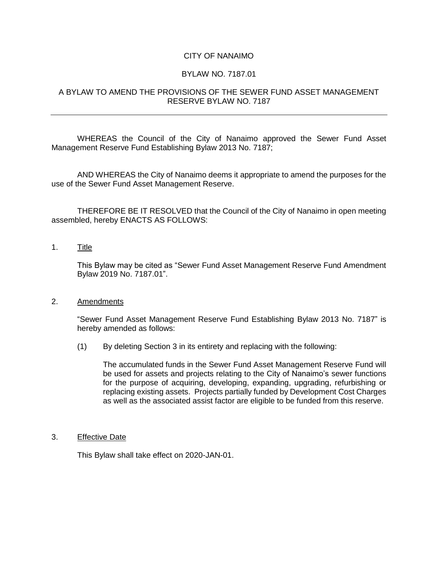# CITY OF NANAIMO

### BYLAW NO. 7187.01

## A BYLAW TO AMEND THE PROVISIONS OF THE SEWER FUND ASSET MANAGEMENT RESERVE BYLAW NO. 7187

WHEREAS the Council of the City of Nanaimo approved the Sewer Fund Asset Management Reserve Fund Establishing Bylaw 2013 No. 7187;

AND WHEREAS the City of Nanaimo deems it appropriate to amend the purposes for the use of the Sewer Fund Asset Management Reserve.

THEREFORE BE IT RESOLVED that the Council of the City of Nanaimo in open meeting assembled, hereby ENACTS AS FOLLOWS:

## 1. Title

This Bylaw may be cited as "Sewer Fund Asset Management Reserve Fund Amendment Bylaw 2019 No. 7187.01".

#### 2. Amendments

"Sewer Fund Asset Management Reserve Fund Establishing Bylaw 2013 No. 7187" is hereby amended as follows:

(1) By deleting Section 3 in its entirety and replacing with the following:

The accumulated funds in the Sewer Fund Asset Management Reserve Fund will be used for assets and projects relating to the City of Nanaimo's sewer functions for the purpose of acquiring, developing, expanding, upgrading, refurbishing or replacing existing assets. Projects partially funded by Development Cost Charges as well as the associated assist factor are eligible to be funded from this reserve.

#### 3. Effective Date

This Bylaw shall take effect on 2020-JAN-01.